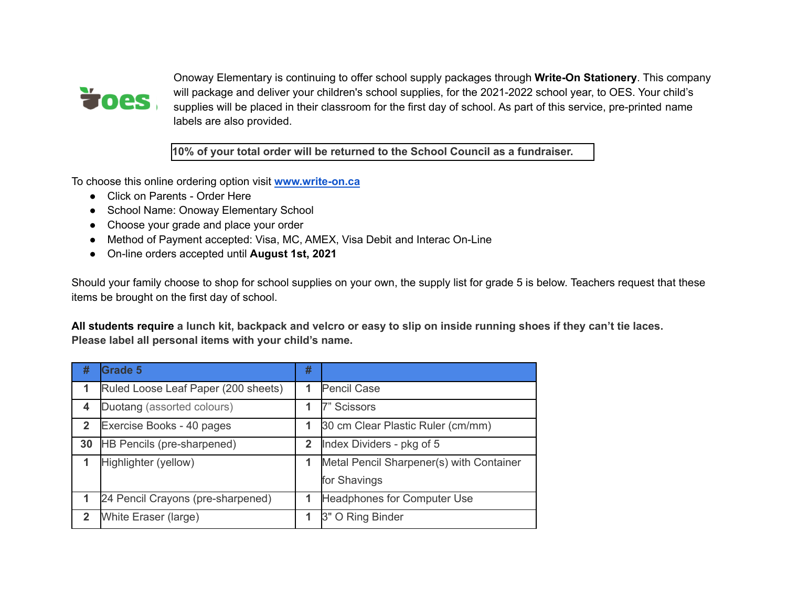

Onoway Elementary is continuing to offer school supply packages through **Write-On Stationery**. This company will package and deliver your children's school supplies, for the 2021-2022 school year, to OES. Your child's supplies will be placed in their classroom for the first day of school. As part of this service, pre-printed name labels are also provided.

**10% of your total order will be returned to the School Council as a fundraiser.**

To choose this online ordering option visit **[www.write-on.ca](http://www.write-on.ca/)**

- Click on Parents Order Here
- School Name: Onoway Elementary School
- Choose your grade and place your order
- Method of Payment accepted: Visa, MC, AMEX, Visa Debit and Interac On-Line
- On-line orders accepted until **August 1st, 2021**

Should your family choose to shop for school supplies on your own, the supply list for grade 5 is below. Teachers request that these items be brought on the first day of school.

All students require a lunch kit, backpack and velcro or easy to slip on inside running shoes if they can't tie laces. **Please label all personal items with your child's name.**

| #            | <b>Grade 5</b>                      | #                       |                                          |
|--------------|-------------------------------------|-------------------------|------------------------------------------|
| 1            | Ruled Loose Leaf Paper (200 sheets) | 1                       | <b>Pencil Case</b>                       |
| 4            | Duotang (assorted colours)          |                         | 7" Scissors                              |
| $\mathbf{2}$ | Exercise Books - 40 pages           | 1                       | 30 cm Clear Plastic Ruler (cm/mm)        |
| 30           | HB Pencils (pre-sharpened)          | $\overline{\mathbf{2}}$ | Index Dividers - pkg of 5                |
|              | Highlighter (yellow)                |                         | Metal Pencil Sharpener(s) with Container |
|              |                                     |                         | for Shavings                             |
|              | 24 Pencil Crayons (pre-sharpened)   | 1                       | Headphones for Computer Use              |
| $\mathbf{2}$ | White Eraser (large)                | 1                       | 3" O Ring Binder                         |